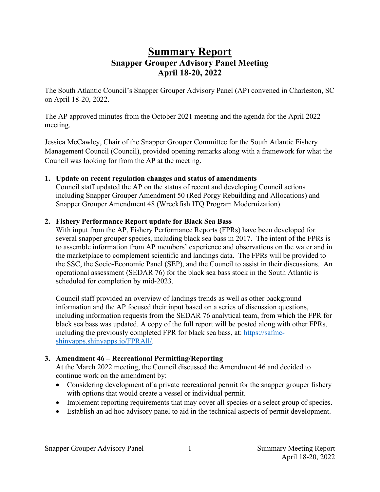# **Summary Report Snapper Grouper Advisory Panel Meeting April 18-20, 2022**

The South Atlantic Council's Snapper Grouper Advisory Panel (AP) convened in Charleston, SC on April 18-20, 2022.

The AP approved minutes from the October 2021 meeting and the agenda for the April 2022 meeting.

Jessica McCawley, Chair of the Snapper Grouper Committee for the South Atlantic Fishery Management Council (Council), provided opening remarks along with a framework for what the Council was looking for from the AP at the meeting.

#### **1. Update on recent regulation changes and status of amendments**

Council staff updated the AP on the status of recent and developing Council actions including Snapper Grouper Amendment 50 (Red Porgy Rebuilding and Allocations) and Snapper Grouper Amendment 48 (Wreckfish ITQ Program Modernization).

#### **2. Fishery Performance Report update for Black Sea Bass**

With input from the AP, Fishery Performance Reports (FPRs) have been developed for several snapper grouper species, including black sea bass in 2017. The intent of the FPRs is to assemble information from AP members' experience and observations on the water and in the marketplace to complement scientific and landings data. The FPRs will be provided to the SSC, the Socio-Economic Panel (SEP), and the Council to assist in their discussions. An operational assessment (SEDAR 76) for the black sea bass stock in the South Atlantic is scheduled for completion by mid-2023.

Council staff provided an overview of landings trends as well as other background information and the AP focused their input based on a series of discussion questions, including information requests from the SEDAR 76 analytical team, from which the FPR for black sea bass was updated. A copy of the full report will be posted along with other FPRs, including the previously completed FPR for black sea bass, at: [https://safmc](https://safmc-shinyapps.shinyapps.io/FPRAll/)[shinyapps.shinyapps.io/FPRAll/.](https://safmc-shinyapps.shinyapps.io/FPRAll/)

### **3. Amendment 46 – Recreational Permitting/Reporting**

At the March 2022 meeting, the Council discussed the Amendment 46 and decided to continue work on the amendment by:

- Considering development of a private recreational permit for the snapper grouper fishery with options that would create a vessel or individual permit.
- Implement reporting requirements that may cover all species or a select group of species.
- Establish an ad hoc advisory panel to aid in the technical aspects of permit development.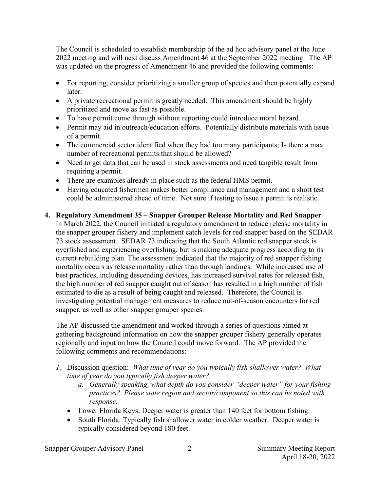The Council is scheduled to establish membership of the ad hoc advisory panel at the June 2022 meeting and will next discuss Amendment 46 at the September 2022 meeting. The AP was updated on the progress of Amendment 46 and provided the following comments:

- For reporting, consider prioritizing a smaller group of species and then potentially expand later.
- A private recreational permit is greatly needed. This amendment should be highly prioritized and move as fast as possible.
- To have permit come through without reporting could introduce moral hazard.
- Permit may aid in outreach/education efforts. Potentially distribute materials with issue of a permit.
- The commercial sector identified when they had too many participants; Is there a max number of recreational permits that should be allowed?
- Need to get data that can be used in stock assessments and need tangible result from requiring a permit.
- There are examples already in place such as the federal HMS permit.
- Having educated fishermen makes better compliance and management and a short test could be administered ahead of time. Not sure if testing to issue a permit is realistic.

# **4. Regulatory Amendment 35 – Snapper Grouper Release Mortality and Red Snapper**

In March 2022, the Council initiated a regulatory amendment to reduce release mortality in the snapper grouper fishery and implement catch levels for red snapper based on the SEDAR 73 stock assessment. SEDAR 73 indicating that the South Atlantic red snapper stock is overfished and experiencing overfishing, but is making adequate progress according to its current rebuilding plan. The assessment indicated that the majority of red snapper fishing mortality occurs as release mortality rather than through landings. While increased use of best practices, including descending devices, has increased survival rates for released fish, the high number of red snapper caught out of season has resulted in a high number of fish estimated to die as a result of being caught and released. Therefore, the Council is investigating potential management measures to reduce out-of-season encounters for red snapper, as well as other snapper grouper species.

The AP discussed the amendment and worked through a series of questions aimed at gathering background information on how the snapper grouper fishery generally operates regionally and input on how the Council could move forward. The AP provided the following comments and recommendations:

- *1.* Discussion question: *What time of year do you typically fish shallower water? What time of year do you typically fish deeper water?* 
	- *a. Generally speaking, what depth do you consider "deeper water" for your fishing practices? Please state region and sector/component so this can be noted with response.*
	- Lower Florida Keys: Deeper water is greater than 140 feet for bottom fishing.
	- South Florida: Typically fish shallower water in colder weather. Deeper water is typically considered beyond 180 feet.

Snapper Grouper Advisory Panel 2 2 Summary Meeting Report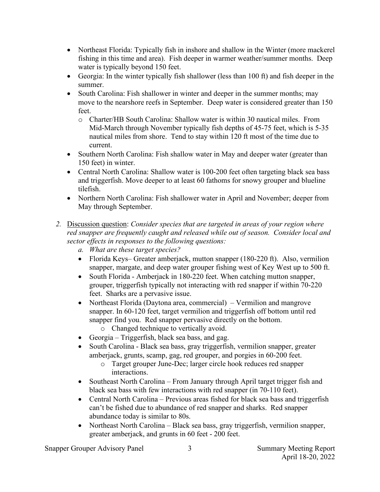- Northeast Florida: Typically fish in inshore and shallow in the Winter (more mackerel fishing in this time and area). Fish deeper in warmer weather/summer months. Deep water is typically beyond 150 feet.
- Georgia: In the winter typically fish shallower (less than 100 ft) and fish deeper in the summer.
- South Carolina: Fish shallower in winter and deeper in the summer months; may move to the nearshore reefs in September. Deep water is considered greater than 150 feet.
	- o Charter/HB South Carolina: Shallow water is within 30 nautical miles. From Mid-March through November typically fish depths of 45-75 feet, which is 5-35 nautical miles from shore. Tend to stay within 120 ft most of the time due to current.
- Southern North Carolina: Fish shallow water in May and deeper water (greater than 150 feet) in winter.
- Central North Carolina: Shallow water is 100-200 feet often targeting black sea bass and triggerfish. Move deeper to at least 60 fathoms for snowy grouper and blueline tilefish.
- Northern North Carolina: Fish shallower water in April and November; deeper from May through September.
- *2.* Discussion question: *Consider species that are targeted in areas of your region where red snapper are frequently caught and released while out of season. Consider local and sector effects in responses to the following questions:* 
	- *a. What are these target species?*
	- Florida Keys– Greater amberjack, mutton snapper (180-220 ft). Also, vermilion snapper, margate, and deep water grouper fishing west of Key West up to 500 ft.
	- South Florida Amberjack in 180-220 feet. When catching mutton snapper, grouper, triggerfish typically not interacting with red snapper if within 70-220 feet. Sharks are a pervasive issue.
	- Northeast Florida (Daytona area, commercial) Vermilion and mangrove snapper. In 60-120 feet, target vermilion and triggerfish off bottom until red snapper find you. Red snapper pervasive directly on the bottom.
		- o Changed technique to vertically avoid.
	- Georgia Triggerfish, black sea bass, and gag.
	- South Carolina Black sea bass, gray triggerfish, vermilion snapper, greater amberjack, grunts, scamp, gag, red grouper, and porgies in 60-200 feet.
		- o Target grouper June-Dec; larger circle hook reduces red snapper interactions.
	- Southeast North Carolina From January through April target trigger fish and black sea bass with few interactions with red snapper (in 70-110 feet).
	- Central North Carolina Previous areas fished for black sea bass and triggerfish can't be fished due to abundance of red snapper and sharks. Red snapper abundance today is similar to 80s.
	- Northeast North Carolina Black sea bass, gray triggerfish, vermilion snapper, greater amberjack, and grunts in 60 feet - 200 feet.

Snapper Grouper Advisory Panel 3 3 Summary Meeting Report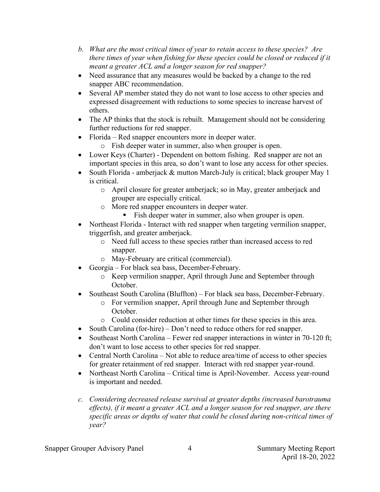- *b. What are the most critical times of year to retain access to these species? Are there times of year when fishing for these species could be closed or reduced if it meant a greater ACL and a longer season for red snapper?*
- Need assurance that any measures would be backed by a change to the red snapper ABC recommendation.
- Several AP member stated they do not want to lose access to other species and expressed disagreement with reductions to some species to increase harvest of others.
- The AP thinks that the stock is rebuilt. Management should not be considering further reductions for red snapper.
- Florida Red snapper encounters more in deeper water.
	- o Fish deeper water in summer, also when grouper is open.
- Lower Keys (Charter) Dependent on bottom fishing. Red snapper are not an important species in this area, so don't want to lose any access for other species.
- South Florida amberjack & mutton March-July is critical; black grouper May 1 is critical.
	- o April closure for greater amberjack; so in May, greater amberjack and grouper are especially critical.
	- o More red snapper encounters in deeper water.
		- Fish deeper water in summer, also when grouper is open.
- Northeast Florida Interact with red snapper when targeting vermilion snapper, triggerfish, and greater amberjack.
	- o Need full access to these species rather than increased access to red snapper.
	- o May-February are critical (commercial).
- Georgia For black sea bass, December-February.
	- o Keep vermilion snapper, April through June and September through October.
- Southeast South Carolina (Bluffton) For black sea bass, December-February.
	- o For vermilion snapper, April through June and September through October.
	- o Could consider reduction at other times for these species in this area.
- South Carolina (for-hire) Don't need to reduce others for red snapper.
- Southeast North Carolina Fewer red snapper interactions in winter in 70-120 ft; don't want to lose access to other species for red snapper.
- Central North Carolina Not able to reduce area/time of access to other species for greater retainment of red snapper. Interact with red snapper year-round.
- Northeast North Carolina Critical time is April-November. Access year-round is important and needed.
- *c. Considering decreased release survival at greater depths (increased barotrauma effects), if it meant a greater ACL and a longer season for red snapper, are there specific areas or depths of water that could be closed during non-critical times of year?*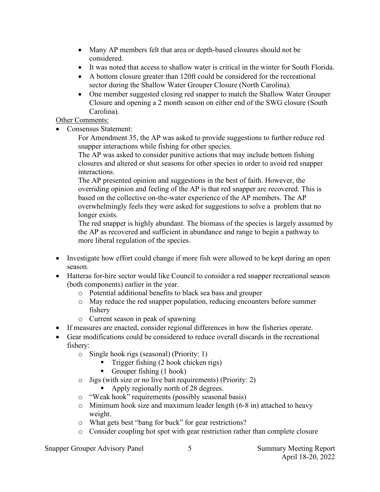- Many AP members felt that area or depth-based closures should not be considered.
- It was noted that access to shallow water is critical in the winter for South Florida.
- A bottom closure greater than 120ft could be considered for the recreational sector during the Shallow Water Grouper Closure (North Carolina).
- One member suggested closing red snapper to match the Shallow Water Grouper Closure and opening a 2 month season on either end of the SWG closure (South Carolina).

### Other Comments:

• Consensus Statement:

For Amendment 35, the AP was asked to provide suggestions to further reduce red snapper interactions while fishing for other species.

The AP was asked to consider punitive actions that may include bottom fishing closures and altered or shut seasons for other species in order to avoid red snapper interactions.

The AP presented opinion and suggestions in the best of faith. However, the overriding opinion and feeling of the AP is that red snapper are recovered. This is based on the collective on-the-water experience of the AP members. The AP overwhelmingly feels they were asked for suggestions to solve a problem that no longer exists.

The red snapper is highly abundant. The biomass of the species is largely assumed by the AP as recovered and sufficient in abundance and range to begin a pathway to more liberal regulation of the species.

- Investigate how effort could change if more fish were allowed to be kept during an open season.
- Hatteras for-hire sector would like Council to consider a red snapper recreational season (both components) earlier in the year.
	- o Potential additional benefits to black sea bass and grouper
	- o May reduce the red snapper population, reducing encounters before summer fishery
	- o Current season in peak of spawning
- If measures are enacted, consider regional differences in how the fisheries operate.
- Gear modifications could be considered to reduce overall discards in the recreational fishery:
	- o Single hook rigs (seasonal) (Priority: 1)
		- Trigger fishing (2 hook chicken rigs)
		- Grouper fishing  $(1 \text{ hook})$
	- o Jigs (with size or no live bait requirements) (Priority: 2)
		- Apply regionally north of 28 degrees.
	- o "Weak hook" requirements (possibly seasonal basis)
	- o Minimum hook size and maximum leader length (6-8 in) attached to heavy weight.
	- o What gets best "bang for buck" for gear restrictions?
	- o Consider coupling hot spot with gear restriction rather than complete closure

Snapper Grouper Advisory Panel 5 5 Summary Meeting Report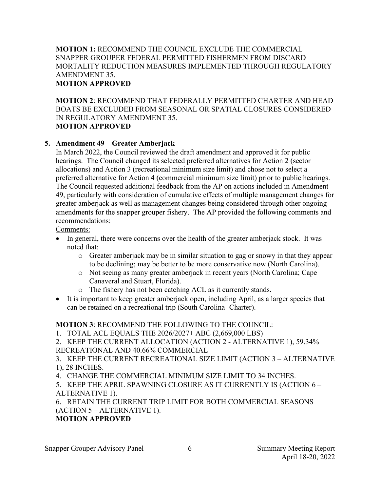#### **MOTION 1:** RECOMMEND THE COUNCIL EXCLUDE THE COMMERCIAL SNAPPER GROUPER FEDERAL PERMITTED FISHERMEN FROM DISCARD MORTALITY REDUCTION MEASURES IMPLEMENTED THROUGH REGULATORY AMENDMENT 35. **MOTION APPROVED**

**MOTION 2**: RECOMMEND THAT FEDERALLY PERMITTED CHARTER AND HEAD BOATS BE EXCLUDED FROM SEASONAL OR SPATIAL CLOSURES CONSIDERED IN REGULATORY AMENDMENT 35. **MOTION APPROVED**

### **5. Amendment 49 – Greater Amberjack**

In March 2022, the Council reviewed the draft amendment and approved it for public hearings. The Council changed its selected preferred alternatives for Action 2 (sector allocations) and Action 3 (recreational minimum size limit) and chose not to select a preferred alternative for Action 4 (commercial minimum size limit) prior to public hearings. The Council requested additional feedback from the AP on actions included in Amendment 49, particularly with consideration of cumulative effects of multiple management changes for greater amberjack as well as management changes being considered through other ongoing amendments for the snapper grouper fishery. The AP provided the following comments and recommendations:

Comments:

- In general, there were concerns over the health of the greater amberjack stock. It was noted that:
	- o Greater amberjack may be in similar situation to gag or snowy in that they appear to be declining; may be better to be more conservative now (North Carolina).
	- o Not seeing as many greater amberjack in recent years (North Carolina; Cape Canaveral and Stuart, Florida).
	- o The fishery has not been catching ACL as it currently stands.
- It is important to keep greater amberjack open, including April, as a larger species that can be retained on a recreational trip (South Carolina- Charter).

# **MOTION 3**: RECOMMEND THE FOLLOWING TO THE COUNCIL:

1. TOTAL ACL EQUALS THE 2026/2027+ ABC (2,669,000 LBS)

2. KEEP THE CURRENT ALLOCATION (ACTION 2 - ALTERNATIVE 1), 59.34% RECREATIONAL AND 40.66% COMMERCIAL

3. KEEP THE CURRENT RECREATIONAL SIZE LIMIT (ACTION 3 – ALTERNATIVE 1), 28 INCHES.

4. CHANGE THE COMMERCIAL MINIMUM SIZE LIMIT TO 34 INCHES.

5. KEEP THE APRIL SPAWNING CLOSURE AS IT CURRENTLY IS (ACTION 6 – ALTERNATIVE 1).

6. RETAIN THE CURRENT TRIP LIMIT FOR BOTH COMMERCIAL SEASONS (ACTION 5 – ALTERNATIVE 1).

# **MOTION APPROVED**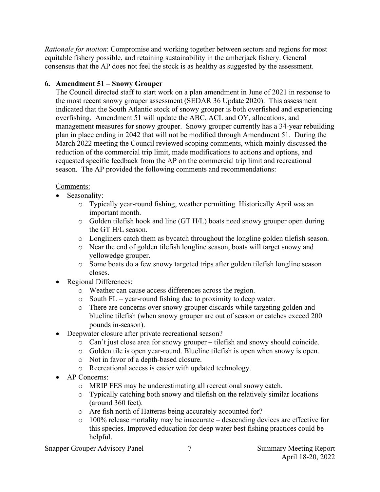*Rationale for motion*: Compromise and working together between sectors and regions for most equitable fishery possible, and retaining sustainability in the amberjack fishery. General consensus that the AP does not feel the stock is as healthy as suggested by the assessment.

### **6. Amendment 51 – Snowy Grouper**

The Council directed staff to start work on a plan amendment in June of 2021 in response to the most recent snowy grouper assessment (SEDAR 36 Update 2020). This assessment indicated that the South Atlantic stock of snowy grouper is both overfished and experiencing overfishing. Amendment 51 will update the ABC, ACL and OY, allocations, and management measures for snowy grouper. Snowy grouper currently has a 34-year rebuilding plan in place ending in 2042 that will not be modified through Amendment 51. During the March 2022 meeting the Council reviewed scoping comments, which mainly discussed the reduction of the commercial trip limit, made modifications to actions and options, and requested specific feedback from the AP on the commercial trip limit and recreational season. The AP provided the following comments and recommendations:

### Comments:

- Seasonality:
	- o Typically year-round fishing, weather permitting. Historically April was an important month.
	- o Golden tilefish hook and line (GT H/L) boats need snowy grouper open during the GT H/L season.
	- o Longliners catch them as bycatch throughout the longline golden tilefish season.
	- o Near the end of golden tilefish longline season, boats will target snowy and yellowedge grouper.
	- o Some boats do a few snowy targeted trips after golden tilefish longline season closes.
- Regional Differences:
	- o Weather can cause access differences across the region.
	- o South FL year-round fishing due to proximity to deep water.
	- o There are concerns over snowy grouper discards while targeting golden and blueline tilefish (when snowy grouper are out of season or catches exceed 200 pounds in-season).
- Deepwater closure after private recreational season?
	- o Can't just close area for snowy grouper tilefish and snowy should coincide.
	- o Golden tile is open year-round. Blueline tilefish is open when snowy is open.
	- o Not in favor of a depth-based closure.
	- o Recreational access is easier with updated technology.
- AP Concerns:
	- o MRIP FES may be underestimating all recreational snowy catch.
	- o Typically catching both snowy and tilefish on the relatively similar locations (around 360 feet).
	- o Are fish north of Hatteras being accurately accounted for?
	- o 100% release mortality may be inaccurate descending devices are effective for this species. Improved education for deep water best fishing practices could be helpful.

Snapper Grouper Advisory Panel 7 7 Summary Meeting Report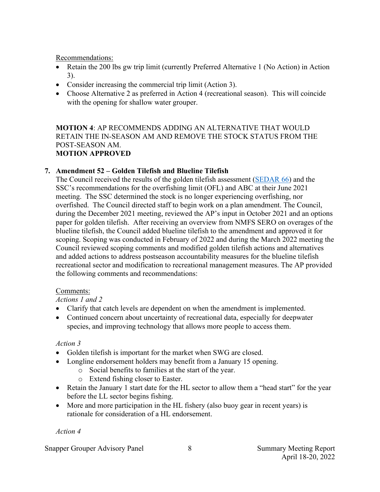Recommendations:

- Retain the 200 lbs gw trip limit (currently Preferred Alternative 1 (No Action) in Action 3).
- Consider increasing the commercial trip limit (Action 3).
- Choose Alternative 2 as preferred in Action 4 (recreational season). This will coincide with the opening for shallow water grouper.

#### **MOTION 4**: AP RECOMMENDS ADDING AN ALTERNATIVE THAT WOULD RETAIN THE IN-SEASON AM AND REMOVE THE STOCK STATUS FROM THE POST-SEASON AM. **MOTION APPROVED**

# **7. Amendment 52 – Golden Tilefish and Blueline Tilefish**

The Council received the results of the golden tilefish assessment [\(SEDAR 66\)](http://sedarweb.org/sedar-66-stock-assessment-report-south-atlantic-tilefish-revised-5142021) and the SSC's recommendations for the overfishing limit (OFL) and ABC at their June 2021 meeting. The SSC determined the stock is no longer experiencing overfishing, nor overfished. The Council directed staff to begin work on a plan amendment. The Council, during the December 2021 meeting, reviewed the AP's input in October 2021 and an options paper for golden tilefish. After receiving an overview from NMFS SERO on overages of the blueline tilefish, the Council added blueline tilefish to the amendment and approved it for scoping. Scoping was conducted in February of 2022 and during the March 2022 meeting the Council reviewed scoping comments and modified golden tilefish actions and alternatives and added actions to address postseason accountability measures for the blueline tilefish recreational sector and modification to recreational management measures. The AP provided the following comments and recommendations:

# Comments:

# *Actions 1 and 2*

- Clarify that catch levels are dependent on when the amendment is implemented.
- Continued concern about uncertainty of recreational data, especially for deepwater species, and improving technology that allows more people to access them.

# *Action 3*

- Golden tilefish is important for the market when SWG are closed.
- Longline endorsement holders may benefit from a January 15 opening.
	- o Social benefits to families at the start of the year.
	- o Extend fishing closer to Easter.
- Retain the January 1 start date for the HL sector to allow them a "head start" for the year before the LL sector begins fishing.
- More and more participation in the HL fishery (also buoy gear in recent years) is rationale for consideration of a HL endorsement.

*Action 4* 

Snapper Grouper Advisory Panel 8 8 8 Summary Meeting Report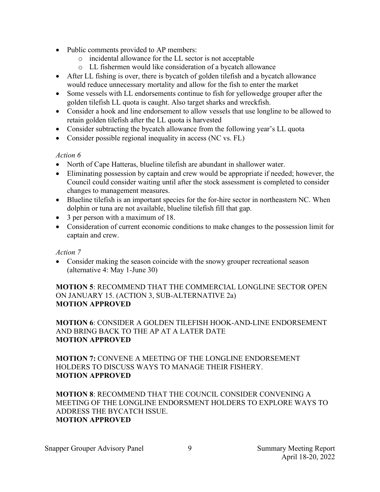- Public comments provided to AP members:
	- o incidental allowance for the LL sector is not acceptable
	- o LL fishermen would like consideration of a bycatch allowance
- After LL fishing is over, there is bycatch of golden tilefish and a bycatch allowance would reduce unnecessary mortality and allow for the fish to enter the market
- Some vessels with LL endorsements continue to fish for yellowedge grouper after the golden tilefish LL quota is caught. Also target sharks and wreckfish.
- Consider a hook and line endorsement to allow vessels that use longline to be allowed to retain golden tilefish after the LL quota is harvested
- Consider subtracting the bycatch allowance from the following year's LL quota
- Consider possible regional inequality in access (NC vs. FL)

### *Action 6*

- North of Cape Hatteras, blueline tilefish are abundant in shallower water.
- Eliminating possession by captain and crew would be appropriate if needed; however, the Council could consider waiting until after the stock assessment is completed to consider changes to management measures.
- Blueline tilefish is an important species for the for-hire sector in northeastern NC. When dolphin or tuna are not available, blueline tilefish fill that gap.
- 3 per person with a maximum of 18.
- Consideration of current economic conditions to make changes to the possession limit for captain and crew.

# *Action 7*

• Consider making the season coincide with the snowy grouper recreational season (alternative 4: May 1-June 30)

### **MOTION 5**: RECOMMEND THAT THE COMMERCIAL LONGLINE SECTOR OPEN ON JANUARY 15. (ACTION 3, SUB-ALTERNATIVE 2a) **MOTION APPROVED**

**MOTION 6**: CONSIDER A GOLDEN TILEFISH HOOK-AND-LINE ENDORSEMENT AND BRING BACK TO THE AP AT A LATER DATE **MOTION APPROVED**

**MOTION 7:** CONVENE A MEETING OF THE LONGLINE ENDORSEMENT HOLDERS TO DISCUSS WAYS TO MANAGE THEIR FISHERY. **MOTION APPROVED**

**MOTION 8**: RECOMMEND THAT THE COUNCIL CONSIDER CONVENING A MEETING OF THE LONGLINE ENDORSMENT HOLDERS TO EXPLORE WAYS TO ADDRESS THE BYCATCH ISSUE. **MOTION APPROVED**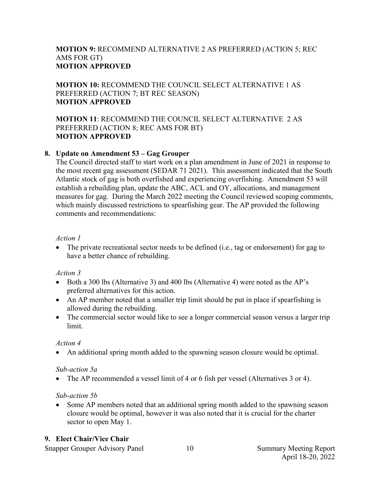### **MOTION 9:** RECOMMEND ALTERNATIVE 2 AS PREFERRED (ACTION 5; REC AMS FOR GT) **MOTION APPROVED**

### **MOTION 10:** RECOMMEND THE COUNCIL SELECT ALTERNATIVE 1 AS PREFERRED (ACTION 7; BT REC SEASON) **MOTION APPROVED**

### **MOTION 11**: RECOMMEND THE COUNCIL SELECT ALTERNATIVE 2 AS PREFERRED (ACTION 8; REC AMS FOR BT) **MOTION APPROVED**

### **8. Update on Amendment 53 – Gag Grouper**

The Council directed staff to start work on a plan amendment in June of 2021 in response to the most recent gag assessment (SEDAR 71 2021). This assessment indicated that the South Atlantic stock of gag is both overfished and experiencing overfishing. Amendment 53 will establish a rebuilding plan, update the ABC, ACL and OY, allocations, and management measures for gag. During the March 2022 meeting the Council reviewed scoping comments, which mainly discussed restrictions to spearfishing gear. The AP provided the following comments and recommendations:

### *Action 1*

• The private recreational sector needs to be defined (i.e., tag or endorsement) for gag to have a better chance of rebuilding.

# *Action 3*

- Both a 300 lbs (Alternative 3) and 400 lbs (Alternative 4) were noted as the AP's preferred alternatives for this action.
- An AP member noted that a smaller trip limit should be put in place if spearfishing is allowed during the rebuilding.
- The commercial sector would like to see a longer commercial season versus a larger trip limit.

### *Action 4*

• An additional spring month added to the spawning season closure would be optimal.

# *Sub-action 5a*

• The AP recommended a vessel limit of 4 or 6 fish per vessel (Alternatives 3 or 4).

# *Sub-action 5b*

• Some AP members noted that an additional spring month added to the spawning season closure would be optimal, however it was also noted that it is crucial for the charter sector to open May 1.

# **9. Elect Chair/Vice Chair**

Snapper Grouper Advisory Panel 10 Summary Meeting Report